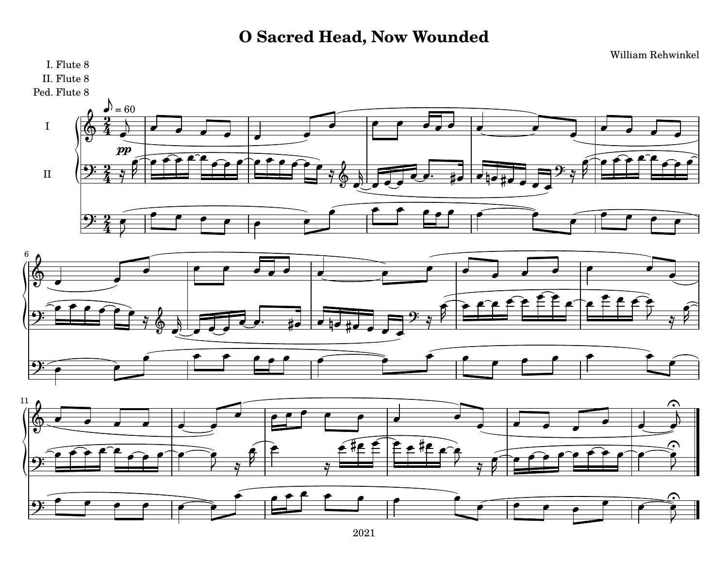

## **O Sacred Head, Now Wounded**

[William Rehwinkel](http://williamrehwinkel.net)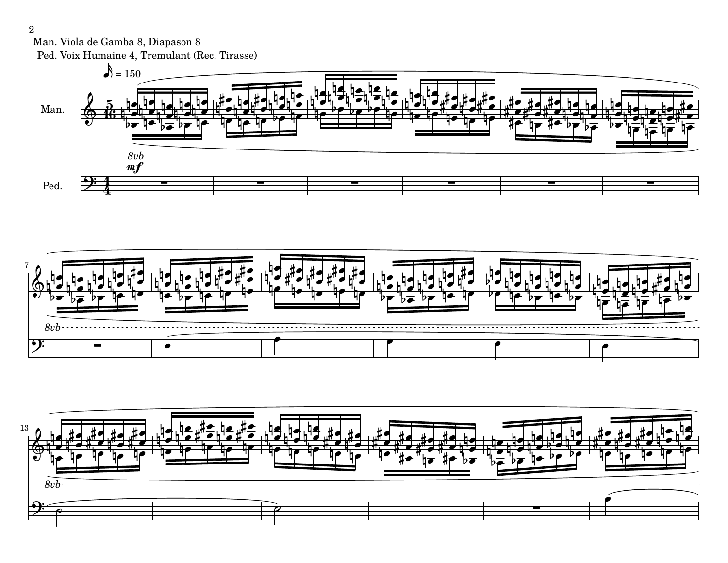Man. Viola de Gamba 8, Diapason 8

Ped. Voix Humaine 4, Tremulant (Rec. Tirasse)







2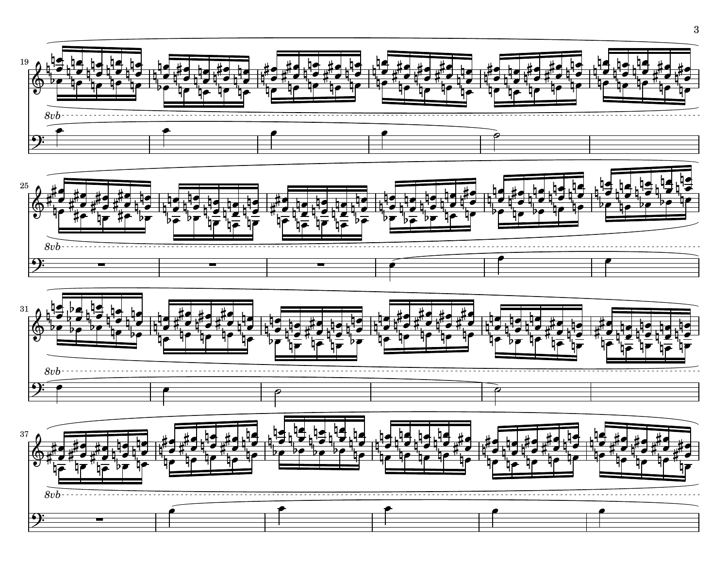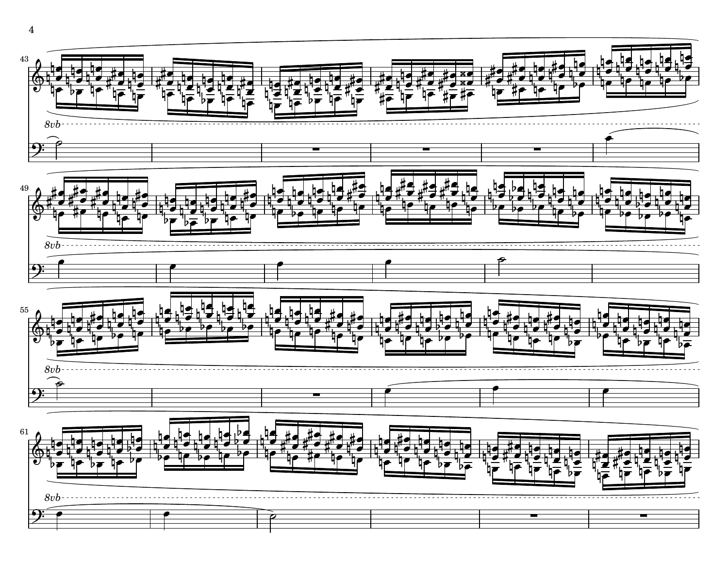

4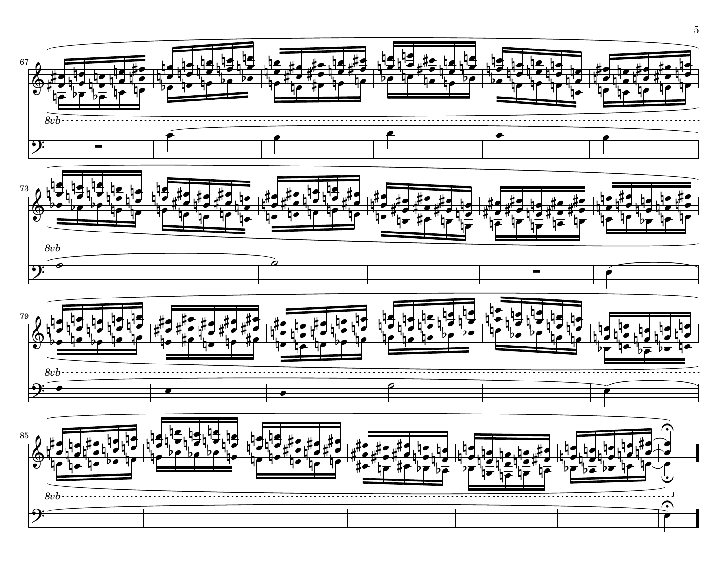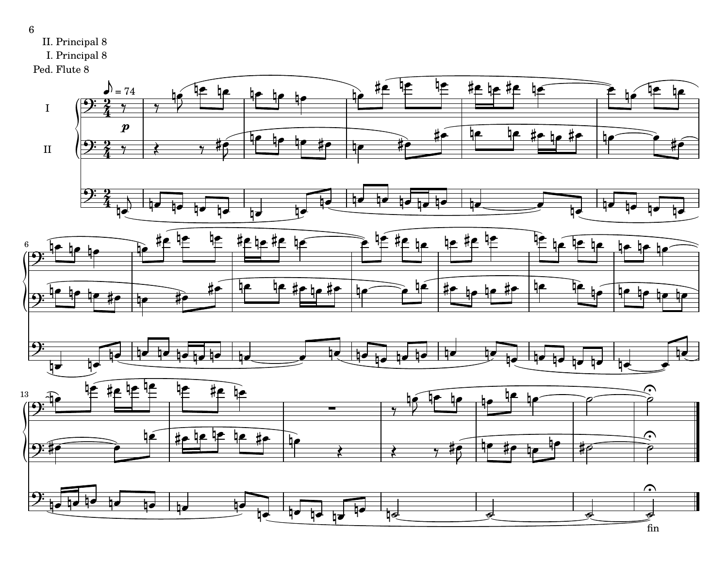

II. Principal 8

I. Principal 8

Ped. Flute 8

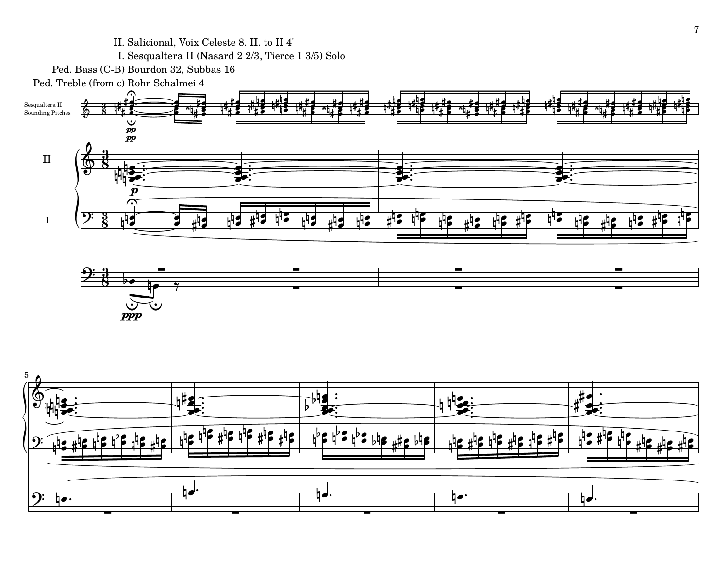

I. Sesqualtera II (Nasard 2 2/3, Tierce 1 3/5) Solo

Ped. Bass (C-B) Bourdon 32, Subbas 16

Ped. Treble (from c) Rohr Schalmei 4



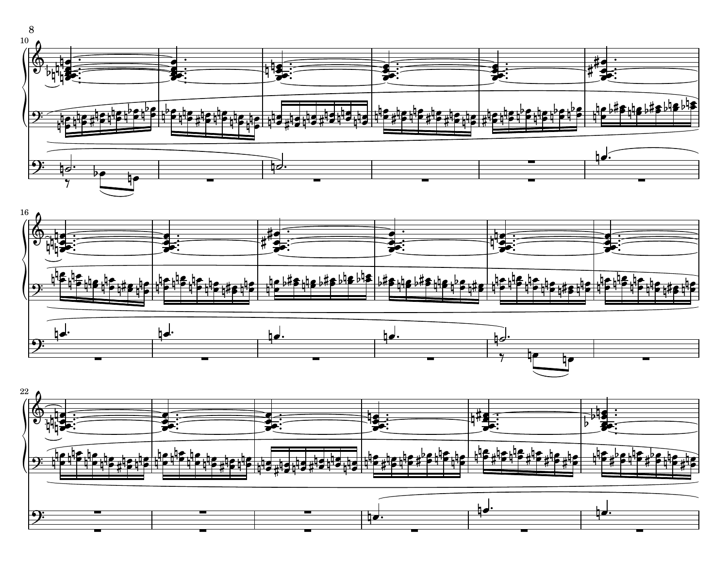



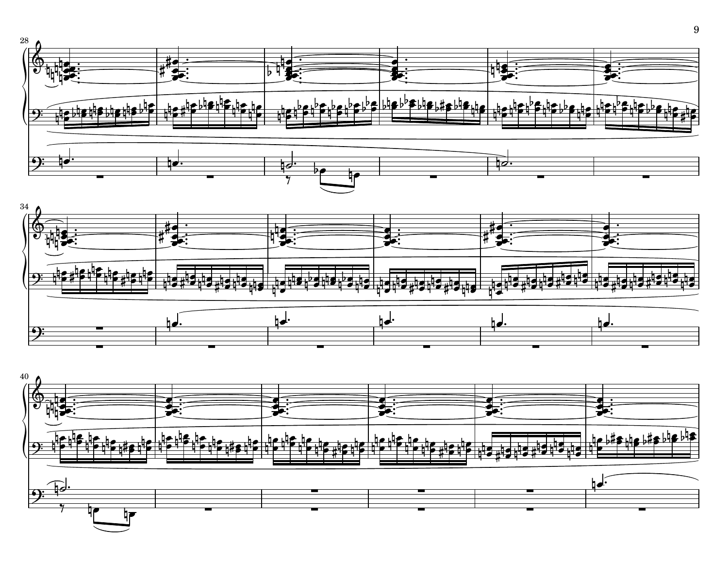



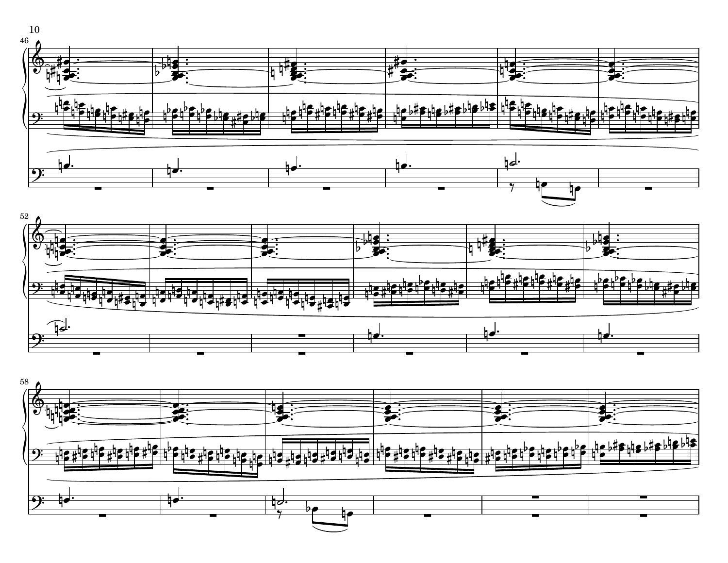



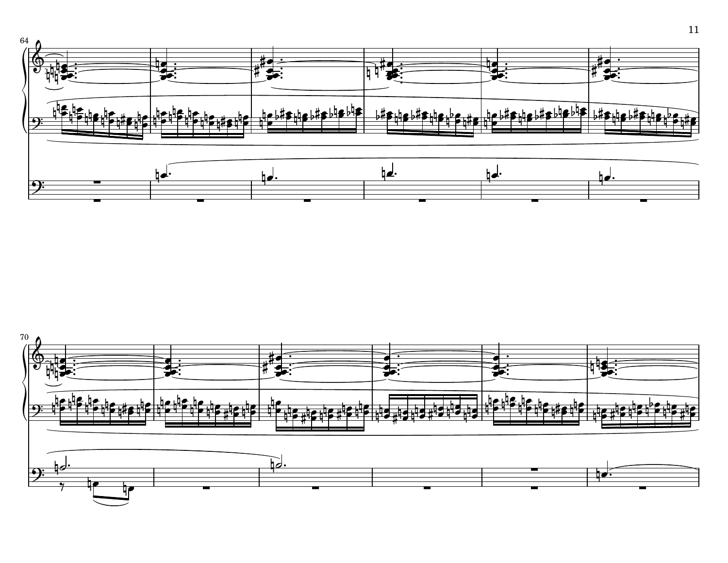